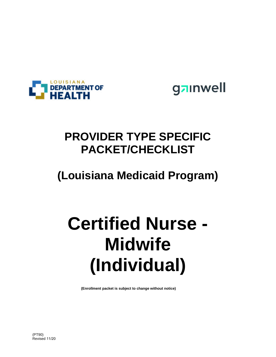

gainwell

# **PROVIDER TYPE SPECIFIC PACKET/CHECKLIST**

# **(Louisiana Medicaid Program)**

# **Certified Nurse - Midwife (Individual)**

**(Enrollment packet is subject to change without notice)**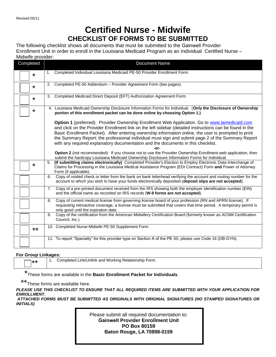## **Certified Nurse - Midwife CHECKLIST OF FORMS TO BE SUBMITTED**

The following checklist shows all documents that must be submitted to the Gainwell Provider Enrollment Unit in order to enroll in the Louisiana Medicaid Program as an Individual Certified Nurse – Midwife provider:

| Completed | <b>Document Name</b>                                                                                                                                                                                                                                                                                                                                                                                                                                                                                               |
|-----------|--------------------------------------------------------------------------------------------------------------------------------------------------------------------------------------------------------------------------------------------------------------------------------------------------------------------------------------------------------------------------------------------------------------------------------------------------------------------------------------------------------------------|
| *         | Completed Individual Louisiana Medicaid PE-50 Provider Enrollment Form.<br>1.                                                                                                                                                                                                                                                                                                                                                                                                                                      |
| $\star$   | 2. Completed PE-50 Addendum - Provider Agreement Form (two pages).                                                                                                                                                                                                                                                                                                                                                                                                                                                 |
| $\star$   | 3. Completed Medicaid Direct Deposit (EFT) Authorization Agreement Form.                                                                                                                                                                                                                                                                                                                                                                                                                                           |
| *         | 4. Louisiana Medicaid Ownership Disclosure Information Forms for Individual. (Only the Disclosure of Ownership<br>portion of this enrollment packet can be done online by choosing Option 1.)                                                                                                                                                                                                                                                                                                                      |
|           | Option 1 (preferred): Provider Ownership Enrollment Web Application. Go to www.lamedicaid.com<br>and click on the Provider Enrollment link on the left sidebar (detailed instructions can be found in the<br>Basic Enrollment Packet). After entering ownership information online, the user is prompted to print<br>the Summary Report; the professional individual must sign and submit page 2 of the Summary Report<br>with any required explanatory documentation and the documents in this checklist.<br>-or- |
|           | Option 2 (not recommended): If you choose not to use the Provider Ownership Enrollment web application, then<br>submit the hardcopy Louisiana Medicaid Ownership Disclosure Information Forms for Individual.                                                                                                                                                                                                                                                                                                      |
| $\star$   | (If submitting claims electronically) Completed Provider's Election to Employ Electronic Data Interchange of<br>5.<br>Claims for Processing in the Louisiana Medical Assistance Program (EDI Contract) Form and Power of Attorney<br>Form (if applicable).                                                                                                                                                                                                                                                         |
|           | Copy of voided check or letter from the bank on bank letterhead verifying the account and routing number for the<br>6.<br>account to which you wish to have your funds electronically deposited (deposit slips are not accepted).                                                                                                                                                                                                                                                                                  |
|           | Copy of a pre-printed document received from the IRS showing both the employer identification number (EIN)<br>7.<br>and the official name as recorded on IRS records (W-9 forms are not accepted).                                                                                                                                                                                                                                                                                                                 |
|           | Copy of current medical license from governing license board of your profession (RN and APRN license). If<br>8.<br>requesting retroactive coverage, a license must be submitted that covers that time period. A temporary permit is<br>only good until the expiration date.                                                                                                                                                                                                                                        |
|           | Copy of the certification from the American Midwifery Certification Board (formerly known as ACNM Certification<br>9.<br>Council, Inc.)                                                                                                                                                                                                                                                                                                                                                                            |
| $***$     | 10. Completed Nurse-Midwife PE-50 Supplement Form.                                                                                                                                                                                                                                                                                                                                                                                                                                                                 |
|           | 11. To report "Specialty" for this provider type on Section A of the PE-50, please use Code 16 (OB-GYN).                                                                                                                                                                                                                                                                                                                                                                                                           |

#### **For Group Linkages:**

\*\* | 1. Completed Link/Unlink and Working Relationship Form.

\* These forms are available in the **Basic Enrollment Packet for Individuals**.

\*\*

These forms are available here.

*PLEASE USE THIS CHECKLIST TO ENSURE THAT ALL REQUIRED ITEMS ARE SUBMITTED WITH YOUR APPLICATION FOR ENROLLMENT.* 

 *ATTACHED FORMS MUST BE SUBMITTED AS ORIGINALS WITH ORIGINAL SIGNATURES (NO STAMPED SIGNATURES OR INITIALS)* 

> Please submit all required documentation to: **Gainwell Provider Enrollment Unit PO Box 80159 Baton Rouge, LA 70898-0159**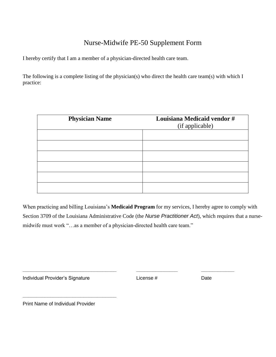## Nurse-Midwife PE-50 Supplement Form

I hereby certify that I am a member of a physician-directed health care team.

The following is a complete listing of the physician(s) who direct the health care team(s) with which I practice:

| <b>Physician Name</b> | Louisiana Medicaid vendor #<br>(if applicable) |  |  |  |  |  |  |  |
|-----------------------|------------------------------------------------|--|--|--|--|--|--|--|
|                       |                                                |  |  |  |  |  |  |  |
|                       |                                                |  |  |  |  |  |  |  |
|                       |                                                |  |  |  |  |  |  |  |
|                       |                                                |  |  |  |  |  |  |  |
|                       |                                                |  |  |  |  |  |  |  |
|                       |                                                |  |  |  |  |  |  |  |

When practicing and billing Louisiana's **Medicaid Program** for my services, I hereby agree to comply with Section 3709 of the Louisiana Administrative Code (the *Nurse Practitioner Act*), which requires that a nursemidwife must work "…as a member of a physician-directed health care team."

Individual Provider's Signature **Example 2018** License # Date

**\_\_\_\_\_\_\_\_\_\_\_\_\_\_\_\_\_\_\_\_\_\_\_\_\_\_\_\_\_\_\_\_\_\_ \_\_\_\_\_\_\_\_\_\_\_\_\_\_\_ \_\_\_\_\_\_\_\_\_\_\_\_**

Print Name of Individual Provider

**\_\_\_\_\_\_\_\_\_\_\_\_\_\_\_\_\_\_\_\_\_\_\_\_\_\_\_\_\_\_\_\_\_\_**